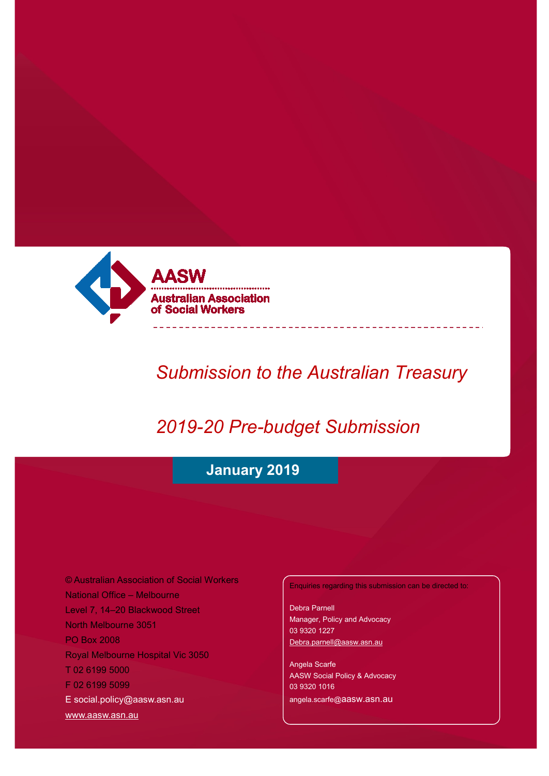

# *Submission to the Australian Treasury*

# *2019-20 Pre-budget Submission*

# **January 2019**

© Australian Association of Social Workers National Office – Melbourne Level 7, 14–20 Blackwood Street North Melbourne 3051 PO Box 2008 Royal Melbourne Hospital Vic 3050 T 02 6199 5000 F 02 6199 5099 [E social.policy@aasw.asn.au](mailto:advocacy@aasw.asn.au) [www.aasw.asn.au](http://www.aasw.asn.au/)

Enquiries regarding this submission can be directed to:

Debra Parnell Manager, Policy and Advocacy 03 9320 1227 [Debra.parnell@aasw.asn.au](mailto:Debra.parnell@aasw.asn.au)

Angela Scarfe AASW Social Policy & Advocacy 03 9320 1016 angela.scarfe@aasw.asn.au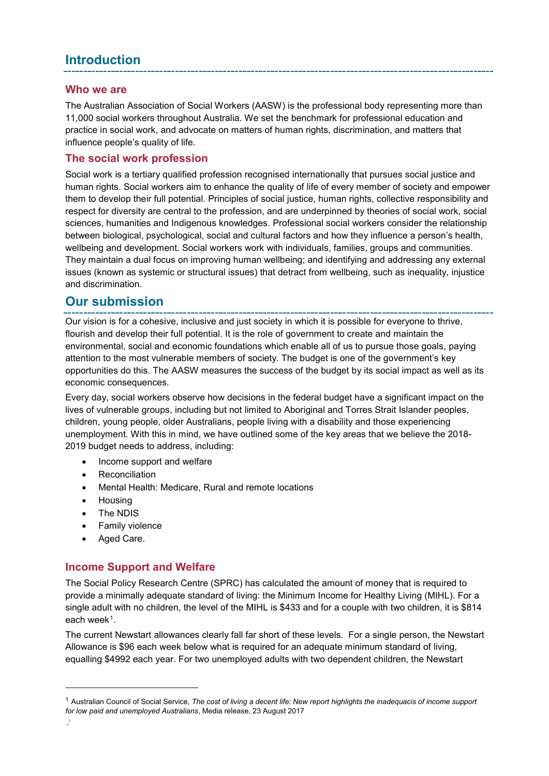## **Introduction**

### **Who we are**

The Australian Association of Social Workers (AASW) is the professional body representing more than 11,000 social workers throughout Australia. We set the benchmark for professional education and practice in social work, and advocate on matters of human rights, discrimination, and matters that influence people's quality of life.

### **The social work profession**

Social work is a tertiary qualified profession recognised internationally that pursues social justice and human rights. Social workers aim to enhance the quality of life of every member of society and empower them to develop their full potential. Principles of social justice, human rights, collective responsibility and respect for diversity are central to the profession, and are underpinned by theories of social work, social sciences, humanities and Indigenous knowledges. Professional social workers consider the relationship between biological, psychological, social and cultural factors and how they influence a person's health, wellbeing and development. Social workers work with individuals, families, groups and communities. They maintain a dual focus on improving human wellbeing; and identifying and addressing any external issues (known as systemic or structural issues) that detract from wellbeing, such as inequality, injustice and discrimination.

## **Our submission**

Our vision is for a cohesive, inclusive and just society in which it is possible for everyone to thrive, flourish and develop their full potential. It is the role of government to create and maintain the environmental, social and economic foundations which enable all of us to pursue those goals, paying attention to the most vulnerable members of society. The budget is one of the government's key opportunities do this. The AASW measures the success of the budget by its social impact as well as its economic consequences*.*

Every day, social workers observe how decisions in the federal budget have a significant impact on the lives of vulnerable groups, including but not limited to Aboriginal and Torres Strait Islander peoples, children, young people, older Australians, people living with a disability and those experiencing unemployment. With this in mind, we have outlined some of the key areas that we believe the 2018- 2019 budget needs to address, including:

- Income support and welfare
- **Reconciliation**
- Mental Health: Medicare, Rural and remote locations
- Housing
- The NDIS
- Family violence
- Aged Care.

## **Income Support and Welfare**

The Social Policy Research Centre (SPRC) has calculated the amount of money that is required to provide a minimally adequate standard of living: the Minimum Income for Healthy Living (MIHL). For a single adult with no children, the level of the MIHL is \$433 and for a couple with two children, it is \$814 each week<sup>1</sup>.

The current Newstart allowances clearly fall far short of these levels. For a single person, the Newstart Allowance is \$96 each week below what is required for an adequate minimum standard of living, equalling \$4992 each year. For two unemployed adults with two dependent children, the Newstart

<span id="page-1-0"></span><sup>1</sup> Australian Council of Social Service, *The cost of living a decent life: New report highlights the inadequacis of income support for low paid and unemployed Australians*, Media release, 23 August 2017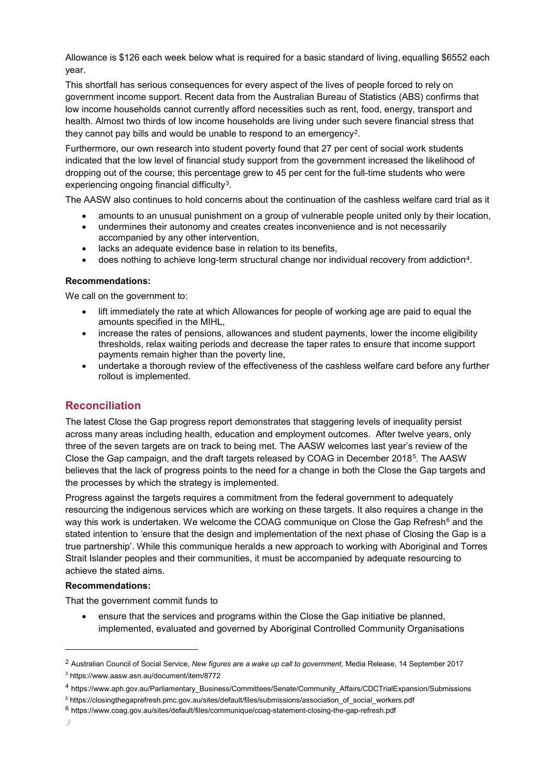Allowance is \$126 each week below what is required for a basic standard of living, equalling \$6552 each year.

This shortfall has serious consequences for every aspect of the lives of people forced to rely on government income support. Recent data from the Australian Bureau of Statistics (ABS) confirms that low income households cannot currently afford necessities such as rent, food, energy, transport and health. Almost two thirds of low income households are living under such severe financial stress that they cannot pay bills and would be unable to respond to an emergency[2](#page-2-0).

Furthermore, our own research into student poverty found that 27 per cent of social work students indicated that the low level of financial study support from the government increased the likelihood of dropping out of the course; this percentage grew to 45 per cent for the full-time students who were experiencing ongoing financial difficulty<sup>3</sup>.

The AASW also continues to hold concerns about the continuation of the cashless welfare card trial as it

- amounts to an unusual punishment on a group of vulnerable people united only by their location,
- undermines their autonomy and creates creates inconvenience and is not necessarily accompanied by any other intervention,
- lacks an adequate evidence base in relation to its benefits,
- does nothing to achieve long-term structural change nor individual recovery from addiction<sup>4</sup>.

#### **Recommendations:**

We call on the government to:

- lift immediately the rate at which Allowances for people of working age are paid to equal the amounts specified in the MIHL,
- increase the rates of pensions, allowances and student payments, lower the income eligibility thresholds, relax waiting periods and decrease the taper rates to ensure that income support payments remain higher than the poverty line,
- undertake a thorough review of the effectiveness of the cashless welfare card before any further rollout is implemented.

#### **Reconciliation**

The latest Close the Gap progress report demonstrates that staggering levels of inequality persist across many areas including health, education and employment outcomes. After twelve years, only three of the seven targets are on track to being met. The AASW welcomes last year's review of the Close the Gap campaign, and the draft targets released by COAG in December 2018[5](#page-2-3). The AASW believes that the lack of progress points to the need for a change in both the Close the Gap targets and the processes by which the strategy is implemented.

Progress against the targets requires a commitment from the federal government to adequately resourcing the indigenous services which are working on these targets. It also requires a change in the way this work is undertaken. We welcome the COAG communique on Close the Gap Refresh<sup>[6](#page-2-4)</sup> and the stated intention to 'ensure that the design and implementation of the next phase of Closing the Gap is a true partnership'. While this communique heralds a new approach to working with Aboriginal and Torres Strait Islander peoples and their communities, it must be accompanied by adequate resourcing to achieve the stated aims.

#### **Recommendations:**

That the government commit funds to

• ensure that the services and programs within the Close the Gap initiative be planned, implemented, evaluated and governed by Aboriginal Controlled Community Organisations

<span id="page-2-0"></span><sup>2</sup> Australian Council of Social Service, *New figures are a wake up call to government*, Media Release, 14 September 2017 <sup>3</sup> https://www.aasw.asn.au/document/item/8772

<span id="page-2-2"></span><span id="page-2-1"></span><sup>4</sup> https://www.aph.gov.au/Parliamentary\_Business/Committees/Senate/Community\_Affairs/CDCTrialExpansion/Submissions

<span id="page-2-3"></span><sup>5</sup> https://closingthegaprefresh.pmc.gov.au/sites/default/files/submissions/association\_of\_social\_workers.pdf

<span id="page-2-4"></span><sup>6</sup> https://www.coag.gov.au/sites/default/files/communique/coag-statement-closing-the-gap-refresh.pdf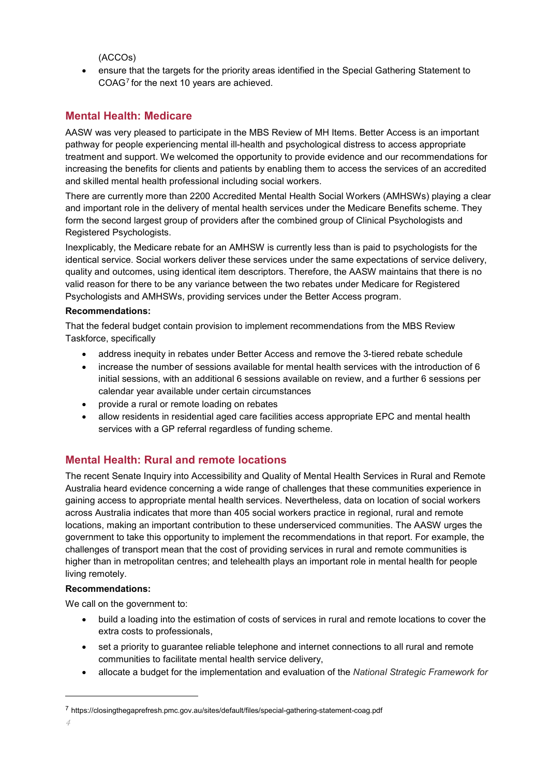(ACCOs)

• ensure that the targets for the priority areas identified in the Special Gathering Statement to COAG[7](#page-3-0) for the next 10 years are achieved.

## **Mental Health: Medicare**

AASW was very pleased to participate in the MBS Review of MH Items. Better Access is an important pathway for people experiencing mental ill-health and psychological distress to access appropriate treatment and support. We welcomed the opportunity to provide evidence and our recommendations for increasing the benefits for clients and patients by enabling them to access the services of an accredited and skilled mental health professional including social workers.

There are currently more than 2200 Accredited Mental Health Social Workers (AMHSWs) playing a clear and important role in the delivery of mental health services under the Medicare Benefits scheme. They form the second largest group of providers after the combined group of Clinical Psychologists and Registered Psychologists.

Inexplicably, the Medicare rebate for an AMHSW is currently less than is paid to psychologists for the identical service. Social workers deliver these services under the same expectations of service delivery, quality and outcomes, using identical item descriptors. Therefore, the AASW maintains that there is no valid reason for there to be any variance between the two rebates under Medicare for Registered Psychologists and AMHSWs, providing services under the Better Access program.

#### **Recommendations:**

That the federal budget contain provision to implement recommendations from the MBS Review Taskforce, specifically

- address inequity in rebates under Better Access and remove the 3-tiered rebate schedule
- increase the number of sessions available for mental health services with the introduction of 6 initial sessions, with an additional 6 sessions available on review, and a further 6 sessions per calendar year available under certain circumstances
- provide a rural or remote loading on rebates
- allow residents in residential aged care facilities access appropriate EPC and mental health services with a GP referral regardless of funding scheme.

## **Mental Health: Rural and remote locations**

The recent Senate Inquiry into Accessibility and Quality of Mental Health Services in Rural and Remote Australia heard evidence concerning a wide range of challenges that these communities experience in gaining access to appropriate mental health services. Nevertheless, data on location of social workers across Australia indicates that more than 405 social workers practice in regional, rural and remote locations, making an important contribution to these underserviced communities. The AASW urges the government to take this opportunity to implement the recommendations in that report. For example, the challenges of transport mean that the cost of providing services in rural and remote communities is higher than in metropolitan centres; and telehealth plays an important role in mental health for people living remotely.

#### **Recommendations:**

We call on the government to:

- build a loading into the estimation of costs of services in rural and remote locations to cover the extra costs to professionals,
- set a priority to guarantee reliable telephone and internet connections to all rural and remote communities to facilitate mental health service delivery,
- allocate a budget for the implementation and evaluation of the *National Strategic Framework for*

<span id="page-3-0"></span><sup>7</sup> https://closingthegaprefresh.pmc.gov.au/sites/default/files/special-gathering-statement-coag.pdf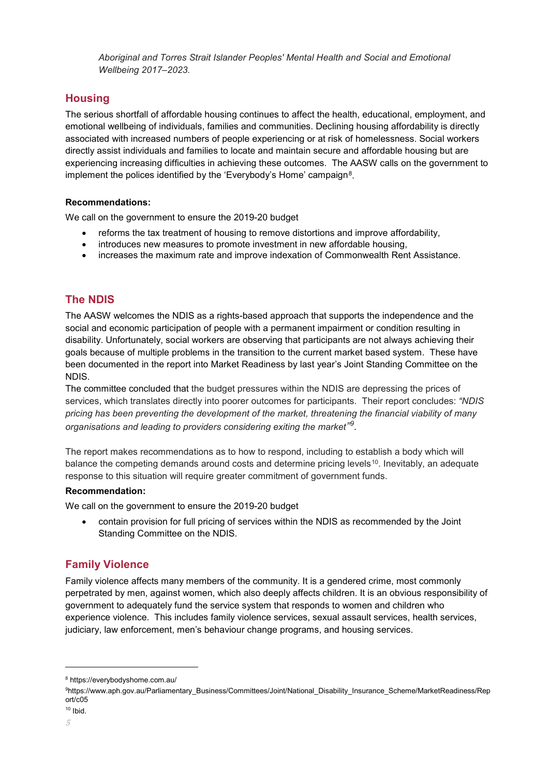*Aboriginal and Torres Strait Islander Peoples' Mental Health and Social and Emotional Wellbeing 2017–2023.*

## **Housing**

The serious shortfall of affordable housing continues to affect the health, educational, employment, and emotional wellbeing of individuals, families and communities. Declining housing affordability is directly associated with increased numbers of people experiencing or at risk of homelessness. Social workers directly assist individuals and families to locate and maintain secure and affordable housing but are experiencing increasing difficulties in achieving these outcomes. The AASW calls on the government to implement the polices identified by the 'Everybody's Home' campaign<sup>8</sup>.

#### **Recommendations:**

We call on the government to ensure the 2019-20 budget

- reforms the tax treatment of housing to remove distortions and improve affordability,
- introduces new measures to promote investment in new affordable housing,
- increases the maximum rate and improve indexation of Commonwealth Rent Assistance.

## **The NDIS**

The AASW welcomes the NDIS as a rights-based approach that supports the independence and the social and economic participation of people with a permanent impairment or condition resulting in disability. Unfortunately, social workers are observing that participants are not always achieving their goals because of multiple problems in the transition to the current market based system. These have been documented in the report into Market Readiness by last year's Joint Standing Committee on the NDIS.

The committee concluded that the budget pressures within the NDIS are depressing the prices of services, which translates directly into poorer outcomes for participants. Their report concludes: *"NDIS pricing has been preventing the development of the market, threatening the financial viability of many*  organisations and leading to providers considering exiting the market"<sup>[9](#page-4-1)</sup>.

The report makes recommendations as to how to respond, including to establish a body which will balance the competing demands around costs and determine pricing levels<sup>[10](#page-4-2)</sup>. Inevitably, an adequate response to this situation will require greater commitment of government funds.

#### **Recommendation:**

We call on the government to ensure the 2019-20 budget

• contain provision for full pricing of services within the NDIS as recommended by the Joint Standing Committee on the NDIS.

## **Family Violence**

Family violence affects many members of the community. It is a gendered crime, most commonly perpetrated by men, against women, which also deeply affects children. It is an obvious responsibility of government to adequately fund the service system that responds to women and children who experience violence. This includes family violence services, sexual assault services, health services, judiciary, law enforcement, men's behaviour change programs, and housing services.

<span id="page-4-0"></span><sup>8</sup> https://everybodyshome.com.au/

<span id="page-4-1"></span><sup>9</sup> https://www.aph.gov.au/Parliamentary\_Business/Committees/Joint/National\_Disability\_Insurance\_Scheme/MarketReadiness/Rep ort/c05

<span id="page-4-2"></span> $10$  Ibid.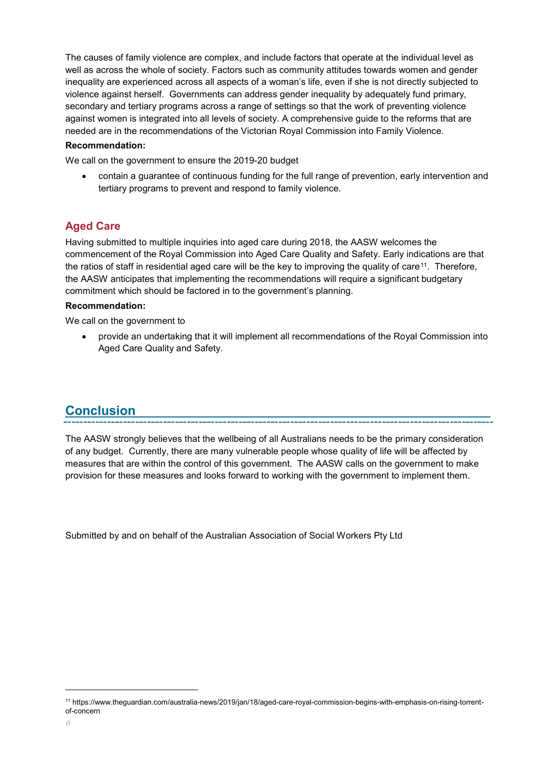The causes of family violence are complex, and include factors that operate at the individual level as well as across the whole of society. Factors such as community attitudes towards women and gender inequality are experienced across all aspects of a woman's life, even if she is not directly subjected to violence against herself. Governments can address gender inequality by adequately fund primary, secondary and tertiary programs across a range of settings so that the work of preventing violence against women is integrated into all levels of society. A comprehensive guide to the reforms that are needed are in the recommendations of the Victorian Royal Commission into Family Violence.

#### **Recommendation:**

We call on the government to ensure the 2019-20 budget

• contain a guarantee of continuous funding for the full range of prevention, early intervention and tertiary programs to prevent and respond to family violence.

## **Aged Care**

Having submitted to multiple inquiries into aged care during 2018, the AASW welcomes the commencement of the Royal Commission into Aged Care Quality and Safety. Early indications are that the ratios of staff in residential aged care will be the key to improving the quality of care[11](#page-5-0). Therefore, the AASW anticipates that implementing the recommendations will require a significant budgetary commitment which should be factored in to the government's planning.

#### **Recommendation:**

We call on the government to

• provide an undertaking that it will implement all recommendations of the Royal Commission into Aged Care Quality and Safety.

## **Conclusion**

The AASW strongly believes that the wellbeing of all Australians needs to be the primary consideration of any budget. Currently, there are many vulnerable people whose quality of life will be affected by measures that are within the control of this government. The AASW calls on the government to make provision for these measures and looks forward to working with the government to implement them.

Submitted by and on behalf of the Australian Association of Social Workers Pty Ltd

<span id="page-5-0"></span><sup>11</sup> https://www.theguardian.com/australia-news/2019/jan/18/aged-care-royal-commission-begins-with-emphasis-on-rising-torrentof-concern